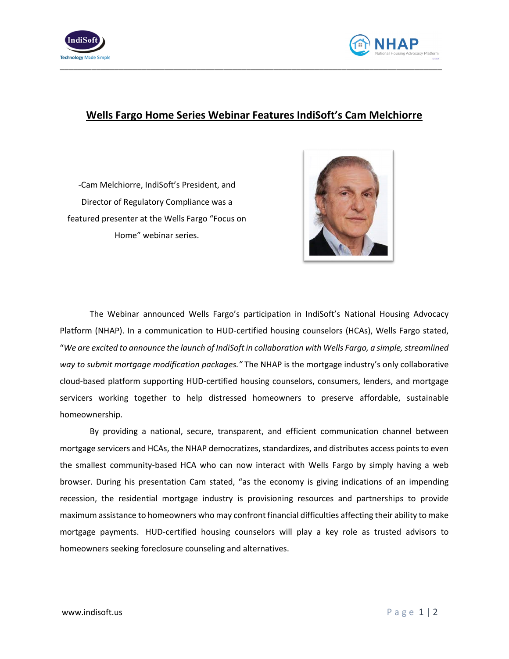



## **Wells Fargo Home Series Webinar Features IndiSoft's Cam Melchiorre**

-Cam Melchiorre, IndiSoft's President, and Director of Regulatory Compliance was a featured presenter at the Wells Fargo "Focus on Home" webinar series.



The Webinar announced Wells Fargo's participation in IndiSoft's National Housing Advocacy Platform (NHAP). In a communication to HUD-certified housing counselors (HCAs), Wells Fargo stated, "*We are excited to announce the launch of IndiSoft in collaboration with Wells Fargo, a simple, streamlined way to submit mortgage modification packages."* The NHAP is the mortgage industry's only collaborative cloud-based platform supporting HUD-certified housing counselors, consumers, lenders, and mortgage servicers working together to help distressed homeowners to preserve affordable, sustainable homeownership.

By providing a national, secure, transparent, and efficient communication channel between mortgage servicers and HCAs, the NHAP democratizes, standardizes, and distributes access points to even the smallest community-based HCA who can now interact with Wells Fargo by simply having a web browser. During his presentation Cam stated, "as the economy is giving indications of an impending recession, the residential mortgage industry is provisioning resources and partnerships to provide maximum assistance to homeowners who may confront financial difficulties affecting their ability to make mortgage payments. HUD-certified housing counselors will play a key role as trusted advisors to homeowners seeking foreclosure counseling and alternatives.